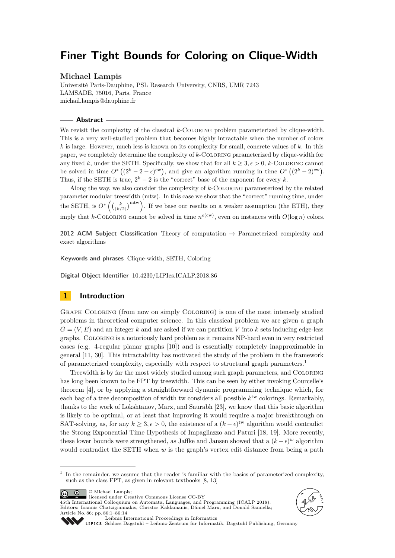# **Finer Tight Bounds for Coloring on Clique-Width**

## **Michael Lampis**

Université Paris-Dauphine, PSL Research University, CNRS, UMR 7243 LAMSADE, 75016, Paris, France [michail.lampis@dauphine.fr](mailto:michail.lampis@dauphine.fr)

## **Abstract**

We revisit the complexity of the classical *k*-COLORING problem parameterized by clique-width. This is a very well-studied problem that becomes highly intractable when the number of colors *k* is large. However, much less is known on its complexity for small, concrete values of *k*. In this paper, we completely determine the complexity of *k*-Coloring parameterized by clique-width for any fixed k, under the SETH. Specifically, we show that for all  $k \geq 3, \epsilon > 0$ , k-COLORING cannot be solved in time  $O^*\left((2^k-2-\epsilon)^{cw}\right)$ , and give an algorithm running in time  $O^*\left((2^k-2)^{cw}\right)$ . Thus, if the SETH is true,  $2^k - 2$  is the "correct" base of the exponent for every *k*.

Along the way, we also consider the complexity of *k*-Coloring parameterized by the related parameter modular treewidth (mtw). In this case we show that the "correct" running time, under the SETH, is  $O^*$   $\left( \binom{k}{\lfloor k/2 \rfloor}^{\text{mtw}} \right)$ . If we base our results on a weaker assumption (the ETH), they imply that *k*-COLORING cannot be solved in time  $n^{o(cw)}$ , even on instances with  $O(\log n)$  colors.

**2012 ACM Subject Classification** Theory of computation → Parameterized complexity and exact algorithms

**Keywords and phrases** Clique-width, SETH, Coloring

**Digital Object Identifier** [10.4230/LIPIcs.ICALP.2018.86](http://dx.doi.org/10.4230/LIPIcs.ICALP.2018.86)

# **1 Introduction**

Graph Coloring (from now on simply Coloring) is one of the most intensely studied problems in theoretical computer science. In this classical problem we are given a graph  $G = (V, E)$  and an integer k and are asked if we can partition V into k sets inducing edge-less graphs. Coloring is a notoriously hard problem as it remains NP-hard even in very restricted cases (e.g. 4-regular planar graphs [\[10\]](#page-12-0)) and is essentially completely inapproximable in general [\[11,](#page-12-1) [30\]](#page-13-0). This intractability has motivated the study of the problem in the framework of parameterized complexity, especially with respect to structural graph parameters.[1](#page-0-0)

Treewidth is by far the most widely studied among such graph parameters, and Coloring has long been known to be FPT by treewidth. This can be seen by either invoking Courcelle's theorem [\[4\]](#page-12-2), or by applying a straightforward dynamic programming technique which, for each bag of a tree decomposition of width tw considers all possible  $k^{\text{tw}}$  colorings. Remarkably, thanks to the work of Lokshtanov, Marx, and Saurabh [\[23\]](#page-13-1), we know that this basic algorithm is likely to be optimal, or at least that improving it would require a major breakthrough on SAT-solving, as, for any  $k \geq 3, \epsilon > 0$ , the existence of a  $(k - \epsilon)$ <sup>tw</sup> algorithm would contradict the Strong Exponential Time Hypothesis of Impagliazzo and Paturi [\[18,](#page-12-3) [19\]](#page-12-4). More recently, these lower bounds were strengthened, as Jaffke and Jansen showed that a  $(k - \epsilon)^w$  algorithm would contradict the SETH when *w* is the graph's vertex edit distance from being a path

 $\boxed{6}$ © Michael Lampis;

licensed under Creative Commons License CC-BY

45th International Colloquium on Automata, Languages, and Programming (ICALP 2018). Editors: Ioannis Chatzigiannakis, Christos Kaklamanis, Dániel Marx, and Donald Sannella; Article No. 86; pp. 86:1–86[:14](#page-13-2)





[Leibniz International Proceedings in Informatics](http://www.dagstuhl.de/lipics/)

[Schloss Dagstuhl – Leibniz-Zentrum für Informatik, Dagstuhl Publishing, Germany](http://www.dagstuhl.de)

<span id="page-0-0"></span><sup>1</sup> In the remainder, we assume that the reader is familiar with the basics of parameterized complexity, such as the class FPT, as given in relevant textbooks  $[8,\,13]$  $[8,\,13]$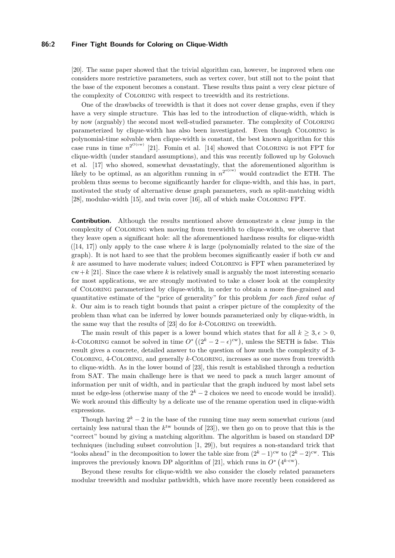#### **86:2 Finer Tight Bounds for Coloring on Clique-Width**

[\[20\]](#page-12-7). The same paper showed that the trivial algorithm can, however, be improved when one considers more restrictive parameters, such as vertex cover, but still not to the point that the base of the exponent becomes a constant. These results thus paint a very clear picture of the complexity of Coloring with respect to treewidth and its restrictions.

One of the drawbacks of treewidth is that it does not cover dense graphs, even if they have a very simple structure. This has led to the introduction of clique-width, which is by now (arguably) the second most well-studied parameter. The complexity of Coloring parameterized by clique-width has also been investigated. Even though Coloring is polynomial-time solvable when clique-width is constant, the best known algorithm for this case runs in time  $n^{2^{O(cw)}}$  [\[21\]](#page-12-8). Fomin et al. [\[14\]](#page-12-9) showed that COLORING is not FPT for clique-width (under standard assumptions), and this was recently followed up by Golovach et al. [\[17\]](#page-12-10) who showed, somewhat devastatingly, that the aforementioned algorithm is likely to be optimal, as an algorithm running in  $n^{2^{o(cw)}}$  would contradict the ETH. The problem thus seems to become significantly harder for clique-width, and this has, in part, motivated the study of alternative dense graph parameters, such as split-matching width [\[28\]](#page-13-3), modular-width [\[15\]](#page-12-11), and twin cover [\[16\]](#page-12-12), all of which make COLORING FPT.

**Contribution.** Although the results mentioned above demonstrate a clear jump in the complexity of Coloring when moving from treewidth to clique-width, we observe that they leave open a significant hole: all the aforementioned hardness results for clique-width ([\[14,](#page-12-9) [17\]](#page-12-10)) only apply to the case where *k* is large (polynomially related to the size of the graph). It is not hard to see that the problem becomes significantly easier if both cw and *k* are assumed to have moderate values; indeed Coloring is FPT when parameterized by  $cw+k$  [\[21\]](#page-12-8). Since the case where *k* is relatively small is arguably the most interesting scenario for most applications, we are strongly motivated to take a closer look at the complexity of Coloring parameterized by clique-width, in order to obtain a more fine-grained and quantitative estimate of the "price of generality" for this problem *for each fixed value of k*. Our aim is to reach tight bounds that paint a crisper picture of the complexity of the problem than what can be inferred by lower bounds parameterized only by clique-width, in the same way that the results of [\[23\]](#page-13-1) do for *k*-Coloring on treewidth.

The main result of this paper is a lower bound which states that for all  $k \geq 3, \epsilon > 0$ , *k*-COLORING cannot be solved in time  $O^*((2^k - 2 - \epsilon)^{cw})$ , unless the SETH is false. This result gives a concrete, detailed answer to the question of how much the complexity of 3- Coloring, 4-Coloring, and generally *k*-Coloring, increases as one moves from treewidth to clique-width. As in the lower bound of [\[23\]](#page-13-1), this result is established through a reduction from SAT. The main challenge here is that we need to pack a much larger amount of information per unit of width, and in particular that the graph induced by most label sets must be edge-less (otherwise many of the  $2<sup>k</sup> - 2$  choices we need to encode would be invalid). We work around this difficulty by a delicate use of the rename operation used in clique-width expressions.

Though having  $2<sup>k</sup> - 2$  in the base of the running time may seem somewhat curious (and certainly less natural than the  $k^{\text{tw}}$  bounds of [\[23\]](#page-13-1)), we then go on to prove that this is the "correct" bound by giving a matching algorithm. The algorithm is based on standard DP techniques (including subset convolution [\[1,](#page-11-0) [29\]](#page-13-4)), but requires a non-standard trick that "looks ahead" in the decomposition to lower the table size from  $(2^k-1)^{cw}$  to  $(2^k-2)^{cw}$ . This improves the previously known DP algorithm of [\[21\]](#page-12-8), which runs in  $O^*$  ( $4^{k \cdot \text{cw}}$ ).

Beyond these results for clique-width we also consider the closely related parameters modular treewidth and modular pathwidth, which have more recently been considered as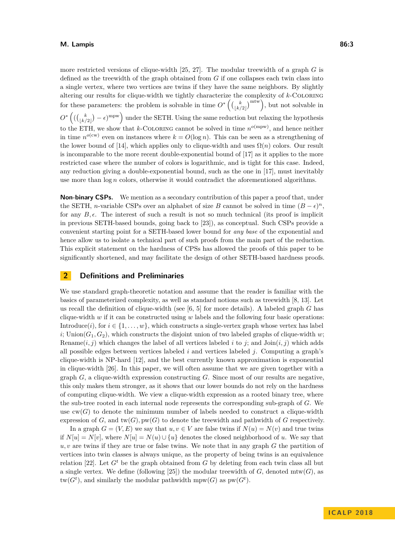more restricted versions of clique-width [\[25,](#page-13-5) [27\]](#page-13-6). The modular treewidth of a graph *G* is

defined as the treewidth of the graph obtained from *G* if one collapses each twin class into a single vertex, where two vertices are twins if they have the same neighbors. By slightly altering our results for clique-width we tightly characterize the complexity of *k*-Coloring for these parameters: the problem is solvable in time  $O^* \left( \binom{k}{\lfloor k/2 \rfloor}^{\text{mtw}} \right)$ , but not solvable in  $O^*((\binom{k}{\lfloor k/2 \rfloor}-\epsilon)^{\text{mpw}})$  under the SETH. Using the same reduction but relaxing the hypothesis to the ETH, we show that *k*-COLORING cannot be solved in time  $n^{o(\text{mpw})}$ , and hence neither in time  $n^{o(cw)}$  even on instances where  $k = O(\log n)$ . This can be seen as a strengthening of the lower bound of [\[14\]](#page-12-9), which applies only to clique-width and uses  $\Omega(n)$  colors. Our result is incomparable to the more recent double-exponential bound of [\[17\]](#page-12-10) as it applies to the more restricted case where the number of colors is logarithmic, and is tight for this case. Indeed, any reduction giving a double-exponential bound, such as the one in [\[17\]](#page-12-10), must inevitably use more than log *n* colors, otherwise it would contradict the aforementioned algorithms.

**Non-binary CSPs.** We mention as a secondary contribution of this paper a proof that, under the SETH, *n*-variable CSPs over an alphabet of size *B* cannot be solved in time  $(B - \epsilon)^n$ , for any  $B, \epsilon$ . The interest of such a result is not so much technical (its proof is implicit in previous SETH-based bounds, going back to [\[23\]](#page-13-1)), as conceptual. Such CSPs provide a convenient starting point for a SETH-based lower bound for *any base* of the exponential and hence allow us to isolate a technical part of such proofs from the main part of the reduction. This explicit statement on the hardness of CPSs has allowed the proofs of this paper to be significantly shortened, and may facilitate the design of other SETH-based hardness proofs.

## **2 Definitions and Preliminaries**

We use standard graph-theoretic notation and assume that the reader is familiar with the basics of parameterized complexity, as well as standard notions such as treewidth [\[8,](#page-12-5) [13\]](#page-12-6). Let us recall the definition of clique-width (see [\[6,](#page-12-13) [5\]](#page-12-14) for more details). A labeled graph *G* has clique-width *w* if it can be constructed using *w* labels and the following four basic operations: Introduce(*i*), for  $i \in \{1, \ldots, w\}$ , which constructs a single-vertex graph whose vertex has label *i*; Union( $G_1, G_2$ ), which constructs the disjoint union of two labeled graphs of clique-width *w*; Rename $(i, j)$  which changes the label of all vertices labeled *i* to *j*; and  $\text{Join}(i, j)$  which adds all possible edges between vertices labeled *i* and vertices labeled *j*. Computing a graph's clique-width is NP-hard [\[12\]](#page-12-15), and the best currently known approximation is exponential in clique-width [\[26\]](#page-13-7). In this paper, we will often assume that we are given together with a graph *G*, a clique-width expression constructing *G*. Since most of our results are negative, this only makes them stronger, as it shows that our lower bounds do not rely on the hardness of computing clique-width. We view a clique-width expression as a rooted binary tree, where the sub-tree rooted in each internal node represents the corresponding sub-graph of *G*. We use  $cw(G)$  to denote the minimum number of labels needed to construct a clique-width expression of *G*, and  $\text{tw}(G)$ ,  $\text{pw}(G)$  to denote the treewidth and pathwidth of *G* respectively.

In a graph  $G = (V, E)$  we say that  $u, v \in V$  are false twins if  $N(u) = N(v)$  and true twins if  $N[u] = N[v]$ , where  $N[u] = N(u) \cup \{u\}$  denotes the closed neighborhood of *u*. We say that *u, v* are twins if they are true or false twins. We note that in any graph *G* the partition of vertices into twin classes is always unique, as the property of being twins is an equivalence relation [\[22\]](#page-13-8). Let  $G^t$  be the graph obtained from  $G$  by deleting from each twin class all but a single vertex. We define (following [\[25\]](#page-13-5)) the modular treewidth of  $G$ , denoted mtw $(G)$ , as  $tw(G<sup>t</sup>)$ , and similarly the modular pathwidth mpw(*G*) as  $pw(G<sup>t</sup>)$ .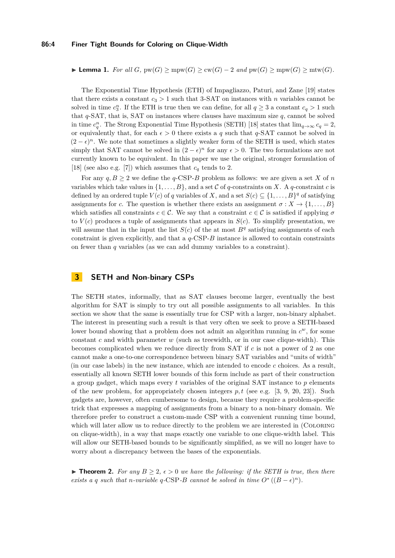#### **86:4 Finer Tight Bounds for Coloring on Clique-Width**

<span id="page-3-1"></span>► **Lemma 1.** *For all*  $G$ *,*  $pw(G) \geq mpw(G) \geq cw(G) - 2$  *and*  $pw(G) \geq mpw(G) \geq mtw(G)$ .

The Exponential Time Hypothesis (ETH) of Impagliazzo, Paturi, and Zane [\[19\]](#page-12-4) states that there exists a constant  $c_3 > 1$  such that 3-SAT on instances with *n* variables cannot be solved in time  $c_3^n$ . If the ETH is true then we can define, for all  $q \geq 3$  a constant  $c_q > 1$  such that *q*-SAT, that is, SAT on instances where clauses have maximum size *q*, cannot be solved in time  $c_q^n$ . The Strong Exponential Time Hypothesis (SETH) [\[18\]](#page-12-3) states that  $\lim_{q\to\infty} c_q = 2$ , or equivalently that, for each  $\epsilon > 0$  there exists a *q* such that *q*-SAT cannot be solved in  $(2 - \epsilon)^n$ . We note that sometimes a slightly weaker form of the SETH is used, which states simply that SAT cannot be solved in  $(2 - \epsilon)^n$  for any  $\epsilon > 0$ . The two formulations are not currently known to be equivalent. In this paper we use the original, stronger formulation of [\[18\]](#page-12-3) (see also e.g. [\[7\]](#page-12-16)) which assumes that  $c_q$  tends to 2.

For any  $q, B \geq 2$  we define the  $q$ -CSP-*B* problem as follows: we are given a set X of *n* variables which take values in  $\{1, \ldots, B\}$ , and a set C of q-constraints on X. A q-constraint c is defined by an ordered tuple  $V(c)$  of *q* variables of *X*, and a set  $S(c) \subseteq \{1, \ldots, B\}^q$  of satisfying assignments for *c*. The question is whether there exists an assignment  $\sigma: X \to \{1, \ldots, B\}$ which satisfies all constraints  $c \in \mathcal{C}$ . We say that a constraint  $c \in \mathcal{C}$  is satisfied if applying  $\sigma$ to  $V(c)$  produces a tuple of assignments that appears in  $S(c)$ . To simplify presentation, we will assume that in the input the list  $S(c)$  of the at most  $B<sup>q</sup>$  satisfying assignments of each constraint is given explicitly, and that a  $q$ -CSP- $B$  instance is allowed to contain constraints on fewer than *q* variables (as we can add dummy variables to a constraint).

# **3 SETH and Non-binary CSPs**

The SETH states, informally, that as SAT clauses become larger, eventually the best algorithm for SAT is simply to try out all possible assignments to all variables. In this section we show that the same is essentially true for CSP with a larger, non-binary alphabet. The interest in presenting such a result is that very often we seek to prove a SETH-based lower bound showing that a problem does not admit an algorithm running in *c <sup>w</sup>*, for some constant *c* and width parameter *w* (such as treewidth, or in our case clique-width). This becomes complicated when we reduce directly from SAT if *c* is not a power of 2 as one cannot make a one-to-one correspondence between binary SAT variables and "units of width" (in our case labels) in the new instance, which are intended to encode *c* choices. As a result, essentially all known SETH lower bounds of this form include as part of their construction a group gadget, which maps every *t* variables of the original SAT instance to *p* elements of the new problem, for appropriately chosen integers *p, t* (see e.g. [\[3,](#page-12-17) [9,](#page-12-18) [20,](#page-12-7) [23\]](#page-13-1)). Such gadgets are, however, often cumbersome to design, because they require a problem-specific trick that expresses a mapping of assignments from a binary to a non-binary domain. We therefore prefer to construct a custom-made CSP with a convenient running time bound, which will later allow us to reduce directly to the problem we are interested in (COLORING on clique-width), in a way that maps exactly one variable to one clique-width label. This will allow our SETH-based bounds to be significantly simplified, as we will no longer have to worry about a discrepancy between the bases of the exponentials.

<span id="page-3-0"></span>▶ **Theorem 2.** For any  $B \geq 2$ ,  $\epsilon > 0$  we have the following: if the SETH is true, then there *exists a q such that n-variable q-CSP-B cannot be solved in time*  $O^*((B - \epsilon)^n)$ *.*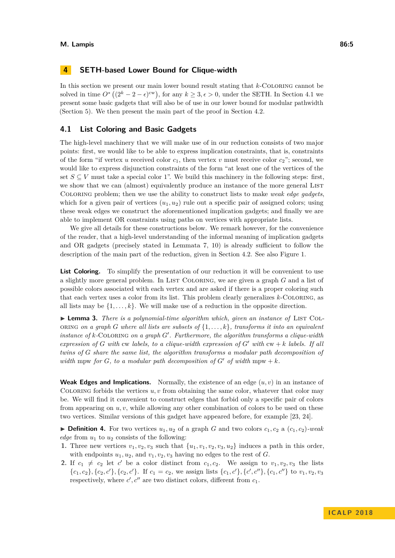# <span id="page-4-1"></span>**4 SETH-based Lower Bound for Clique-width**

In this section we present our main lower bound result stating that *k*-Coloring cannot be solved in time  $O^*((2^k - 2 - \epsilon)^{cw})$ , for any  $k \geq 3, \epsilon > 0$ , under the SETH. In Section [4.1](#page-4-0) we present some basic gadgets that will also be of use in our lower bound for modular pathwidth (Section [5\)](#page-9-0). We then present the main part of the proof in Section [4.2.](#page-6-0)

## <span id="page-4-0"></span>**4.1 List Coloring and Basic Gadgets**

The high-level machinery that we will make use of in our reduction consists of two major points: first, we would like to be able to express implication constraints, that is, constraints of the form "if vertex *u* received color  $c_1$ , then vertex *v* must receive color  $c_2$ "; second, we would like to express disjunction constraints of the form "at least one of the vertices of the set  $S \subseteq V$  must take a special color 1". We build this machinery in the following steps: first, we show that we can (almost) equivalently produce an instance of the more general LIST Coloring problem; then we use the ability to construct lists to make *weak edge gadgets*, which for a given pair of vertices  $(u_1, u_2)$  rule out a specific pair of assigned colors; using these weak edges we construct the aforementioned implication gadgets; and finally we are able to implement OR constraints using paths on vertices with appropriate lists.

We give all details for these constructions below. We remark however, for the convenience of the reader, that a high-level understanding of the informal meaning of implication gadgets and OR gadgets (precisely stated in Lemmata [7,](#page-5-0) [10\)](#page-6-1) is already sufficient to follow the description of the main part of the reduction, given in Section [4.2.](#page-6-0) See also Figure [1.](#page-5-1)

List Coloring. To simplify the presentation of our reduction it will be convenient to use a slightly more general problem. In LIST COLORING, we are given a graph *G* and a list of possible colors associated with each vertex and are asked if there is a proper coloring such that each vertex uses a color from its list. This problem clearly generalizes *k*-Coloring, as all lists may be  $\{1, \ldots, k\}$ . We will make use of a reduction in the opposite direction.

► **Lemma 3.** *There is a polynomial-time algorithm which, given an instance of* LIST COL-ORING *on a graph G* where all lists are subsets of  $\{1, \ldots, k\}$ , transforms it into an equivalent *instance of*  $k$ -COLORING *on a graph*  $G'$ . Furthermore, the algorithm transforms a clique-width *expression of G with* cw *labels, to a clique-width expression of*  $G'$  *with*  $cw + k$  *labels. If all twins of G share the same list, the algorithm transforms a modular path decomposition of width* mpw *for G, to a modular path decomposition of G*<sup> $\prime$ </sup> *of width* mpw + *k.* 

**Weak Edges and Implications.** Normally, the existence of an edge  $(u, v)$  in an instance of COLORING forbids the vertices  $u, v$  from obtaining the same color, whatever that color may be. We will find it convenient to construct edges that forbid only a specific pair of colors from appearing on *u, v*, while allowing any other combination of colors to be used on these two vertices. Similar versions of this gadget have appeared before, for example [\[23,](#page-13-1) [24\]](#page-13-9).

**Definition 4.** For two vertices  $u_1, u_2$  of a graph *G* and two colors  $c_1, c_2$  a  $(c_1, c_2)$ *-weak edge* from *u*<sup>1</sup> to *u*<sup>2</sup> consists of the following:

- **1.** Three new vertices  $v_1, v_2, v_3$  such that  $\{u_1, v_1, v_2, v_3, u_2\}$  induces a path in this order, with endpoints  $u_1, u_2$ , and  $v_1, v_2, v_3$  having no edges to the rest of *G*.
- **2.** If  $c_1 \neq c_2$  let  $c'$  be a color distinct from  $c_1, c_2$ . We assign to  $v_1, v_2, v_3$  the lists  $\{c_1, c_2\}, \{c_2, c'\}, \{c_2, c'\}.$  If  $c_1 = c_2$ , we assign lists  $\{c_1, c'\}, \{c', c''\}, \{c_1, c''\}$  to  $v_1, v_2, v_3$ respectively, where  $c', c''$  are two distinct colors, different from  $c_1$ .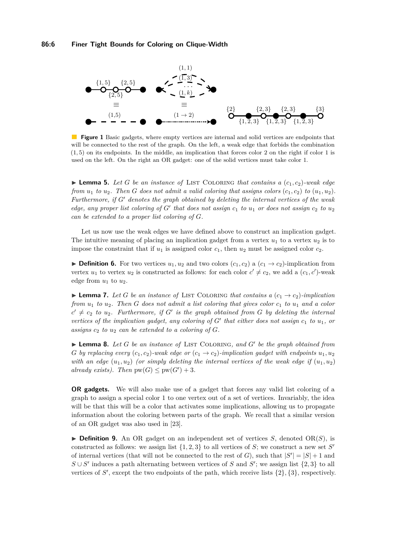<span id="page-5-1"></span>

**Figure 1** Basic gadgets, where empty vertices are internal and solid vertices are endpoints that will be connected to the rest of the graph. On the left, a weak edge that forbids the combination (1*,* 5) on its endpoints. In the middle, an implication that forces color 2 on the right if color 1 is used on the left. On the right an OR gadget: one of the solid vertices must take color 1.

**I Lemma 5.** Let G be an instance of LIST COLORING that contains a  $(c_1, c_2)$ -weak edge *from*  $u_1$  *to*  $u_2$ *. Then G does not admit a valid coloring that assigns colors*  $(c_1, c_2)$  *to*  $(u_1, u_2)$ *. Furthermore, if G*<sup>0</sup> *denotes the graph obtained by deleting the internal vertices of the weak edge, any proper list coloring of*  $G'$  that does not assign  $c_1$  to  $u_1$  or does not assign  $c_2$  to  $u_2$ *can be extended to a proper list coloring of G.*

Let us now use the weak edges we have defined above to construct an implication gadget. The intuitive meaning of placing an implication gadget from a vertex  $u_1$  to a vertex  $u_2$  is to impose the constraint that if  $u_1$  is assigned color  $c_1$ , then  $u_2$  must be assigned color  $c_2$ .

▶ **Definition 6.** For two vertices  $u_1, u_2$  and two colors  $(c_1, c_2)$  a  $(c_1 \rightarrow c_2)$ -implication from vertex  $u_1$  to vertex  $u_2$  is constructed as follows: for each color  $c' \neq c_2$ , we add a  $(c_1, c')$ -weak edge from  $u_1$  to  $u_2$ .

<span id="page-5-0"></span>**Lemma 7.** Let G be an instance of LIST COLORING that contains a  $(c_1 \rightarrow c_2)$ -implication *from u*<sup>1</sup> *to u*2*. Then G does not admit a list coloring that gives color c*<sup>1</sup> *to u*<sup>1</sup> *and a color*  $c' \neq c_2$  *to*  $u_2$ . Furthermore, if *G*<sup> $\prime$ </sup> is the graph obtained from *G* by deleting the internal *vertices of the implication gadget, any coloring of*  $G'$  that either does not assign  $c_1$  to  $u_1$ , or assigns  $c_2$  *to*  $u_2$  *can be extended to a coloring of G.* 

▶ Lemma 8. Let *G* be an instance of LIST COLORING, and *G*<sup>*'*</sup> be the graph obtained from *G by replacing every*  $(c_1, c_2)$ *-weak edge or*  $(c_1 \rightarrow c_2)$ *-implication gadget with endpoints*  $u_1, u_2$ *with an edge*  $(u_1, u_2)$  (or simply deleting the internal vertices of the weak edge if  $(u_1, u_2)$ ) *already exists).* Then  $pw(G) \leq pw(G') + 3$ .

**OR gadgets.** We will also make use of a gadget that forces any valid list coloring of a graph to assign a special color 1 to one vertex out of a set of vertices. Invariably, the idea will be that this will be a color that activates some implications, allowing us to propagate information about the coloring between parts of the graph. We recall that a similar version of an OR gadget was also used in [\[23\]](#page-13-1).

 $\triangleright$  **Definition 9.** An OR gadget on an independent set of vertices *S*, denoted OR(*S*), is constructed as follows: we assign list  $\{1, 2, 3\}$  to all vertices of *S*; we construct a new set *S*<sup>*'*</sup> of internal vertices (that will not be connected to the rest of *G*), such that  $|S'| = |S| + 1$  and  $S \cup S'$  induces a path alternating between vertices of *S* and *S*<sup>'</sup>; we assign list {2, 3} to all vertices of  $S'$ , except the two endpoints of the path, which receive lists  $\{2\}$ ,  $\{3\}$ , respectively.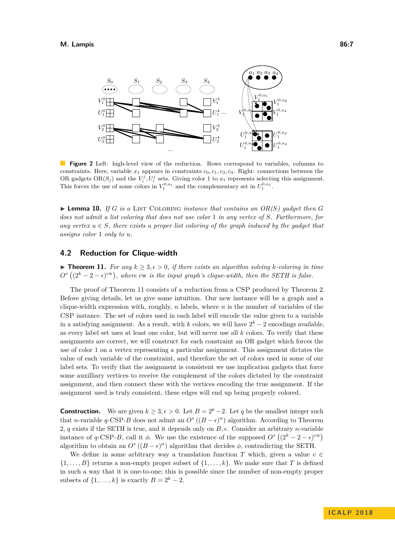

**Figure 2** Left: high-level view of the reduction. Rows correspond to variables, columns to constraints. Here, variable  $x_1$  appears in constraints  $c_0, c_1, c_3, c_4$ . Right: connections between the OR gadgets  $OR(S_j)$  and the  $V_i^j, U_i^j$  sets. Giving color 1 to  $a_1$  represents selecting this assignment. This forces the use of some colors in  $V_1^{0,a_1}$  and the complementary set in  $U_1^{0,a_1}$ .

<span id="page-6-1"></span> $\blacktriangleright$  **Lemma 10.** If *G* is a LIST COLORING *instance that contains an OR(S) gadget then <i>G does not admit a list coloring that does not use color* 1 *in any vertex of S. Furthermore, for any vertex*  $u \in S$ *, there exists a proper list coloring of the graph induced by the gadget that assigns color* 1 *only to u.*

## <span id="page-6-0"></span>**4.2 Reduction for Clique-width**

<span id="page-6-2"></span>▶ **Theorem 11.** *For any*  $k \geq 3, \epsilon > 0$ , *if there exists an algorithm solving k*-*coloring in time*  $O^*((2^k-2-\epsilon)^{\text{cw}})$ , where cw *is the input graph's clique-width*, then the SETH is false.

The proof of Theorem [11](#page-6-2) consists of a reduction from a CSP produced by Theorem [2.](#page-3-0) Before giving details, let us give some intuition. Our new instance will be a graph and a clique-width expression with, roughly, *n* labels, where *n* is the number of variables of the CSP instance. The set of colors used in each label will encode the value given to a variable in a satisfying assignment. As a result, with  $k$  colors, we will have  $2^k - 2$  encodings available, as every label set uses at least one color, but will never use all *k* colors. To verify that these assignments are correct, we will construct for each constraint an OR gadget which forces the use of color 1 on a vertex representing a particular assignment. This assignment dictates the value of each variable of the constraint, and therefore the set of colors used in some of our label sets. To verify that the assignment is consistent we use implication gadgets that force some auxilliary vertices to receive the complement of the colors dictated by the constraint assignment, and then connect these with the vertices encoding the true assignment. If the assignment used is truly consistent, these edges will end up being properly colored.

**Construction.** We are given  $k \geq 3$ ,  $\epsilon > 0$ . Let  $B = 2^k - 2$ . Let *q* be the smallest integer such that *n*-variable *q*-CSP-*B* does not admit an  $O^*((B - \epsilon)^n)$  algorithm. According to Theorem [2,](#page-3-0) *q* exists if the SETH is true, and it depends only on  $B$ ,  $\epsilon$ . Consider an arbitrary *n*-variable instance of *q*-CSP-*B*, call it  $\phi$ . We use the existence of the supposed  $O^*((2^k - 2 - \epsilon)^{cw})$ algorithm to obtain an  $O^*((B - \epsilon)^n)$  algorithm that decides  $\phi$ , contradicting the SETH.

We define in some arbitrary way a translation function *T* which, given a value  $v \in$  $\{1, \ldots, B\}$  returns a non-empty proper subset of  $\{1, \ldots, k\}$ . We make sure that *T* is defined in such a way that it is one-to-one; this is possible since the number of non-empty proper subsets of  $\{1, \ldots, k\}$  is exactly  $B = 2^k - 2$ .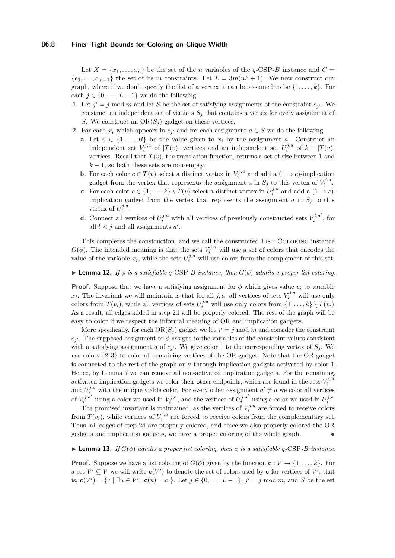#### **86:8 Finer Tight Bounds for Coloring on Clique-Width**

Let  $X = \{x_1, \ldots, x_n\}$  be the set of the *n* variables of the *q*-CSP-*B* instance and  $C =$  ${c_0, \ldots, c_{m-1}}$  the set of its *m* constraints. Let  $L = 3m(nk + 1)$ . We now construct our graph, where if we don't specify the list of a vertex it can be assumed to be  $\{1, \ldots, k\}$ . For each  $j \in \{0, \ldots, L-1\}$  we do the following:

- <span id="page-7-3"></span>**1.** Let  $j' = j \mod m$  and let *S* be the set of satisfying assignments of the constraint  $c_{j'}$ . We construct an independent set of vertices  $S_j$  that contains a vertex for every assignment of *S*. We construct an OR(*S<sup>j</sup>* ) gadget on these vertices.
- <span id="page-7-1"></span>**2.** For each  $x_i$  which appears in  $c_j$  and for each assignment  $a \in S$  we do the following:
	- **a.** Let  $v \in \{1, ..., B\}$  be the value given to  $x_i$  by the assignment *a*. Construct an independent set  $V_i^{j,a}$  of  $|T(v)|$  vertices and an independent set  $U_i^{j,a}$  of  $k - |T(v)|$ vertices. Recall that  $T(v)$ , the translation function, returns a set of size between 1 and  $k-1$ , so both these sets are non-empty.
	- **b.** For each color  $c \in T(v)$  select a distinct vertex in  $V_i^{j,a}$  and add a  $(1 \rightarrow c)$ -implication gadget from the vertex that represents the assignment *a* in  $S_j$  to this vertex of  $V_i^{j,a}$ .
	- **c.** For each color  $c \in \{1, ..., k\} \setminus T(v)$  select a distinct vertex in  $U_i^{j,a}$  and add a  $(1 \rightarrow c)$ implication gadget from the vertex that represents the assignment  $a$  in  $S_i$  to this vertex of  $U_i^{j,a}$ .
	- **d.** Connect all vertices of  $U_i^{j,a}$  with all vertices of previously constructed sets  $V_i^{l,a'}$ , for all  $l < j$  and all assignments  $a'$ .

<span id="page-7-2"></span><span id="page-7-0"></span>This completes the construction, and we call the constructed LIST COLORING instance  $G(\phi)$ . The intended meaning is that the sets  $V_i^{j,a}$  will use a set of colors that encodes the value of the variable  $x_i$ , while the sets  $U_i^{j,a}$  will use colors from the complement of this set.

### $\blacktriangleright$  **Lemma 12.** *If*  $\phi$  *is a satisfiable q*-CSP*-B instance, then*  $G(\phi)$  *admits a proper list coloring.*

**Proof.** Suppose that we have a satisfying assignment for  $\phi$  which gives value  $v_i$  to variable  $x_i$ . The invariant we will maintain is that for all *j, a,* all vertices of sets  $V_i^{j,a}$  will use only colors from  $T(v_i)$ , while all vertices of sets  $U_i^{j,a}$  will use only colors from  $\{1,\ldots,k\} \setminus T(v_i)$ . As a result, all edges added in step [2d](#page-7-0) will be properly colored. The rest of the graph will be easy to color if we respect the informal meaning of OR and implication gadgets.

More specifically, for each  $OR(S_j)$  gadget we let  $j' = j \mod m$  and consider the constraint  $c_j$ . The supposed assignment to  $\phi$  assigns to the variables of the constraint values consistent with a satisfying assignment *a* of  $c_j$ . We give color 1 to the corresponding vertex of  $S_j$ . We use colors {2*,* 3} to color all remaining vertices of the OR gadget. Note that the OR gadget is connected to the rest of the graph only through implication gadgets activated by color 1. Hence, by Lemma [7](#page-5-0) we can remove all non-activated implication gadgets. For the remaining, activated implication gadgets we color their other endpoints, which are found in the sets  $V_i^{j,a}$ and  $U_i^{j,a}$  with the unique viable color. For every other assignment  $a' \neq a$  we color all vertices of  $V_i^{j,a'}$  using a color we used in  $V_i^{j,a}$ , and the vertices of  $U_i^{j,a'}$  using a color we used in  $U_i^{j,a}$ .

The promised invariant is maintained, as the vertices of  $V_i^{j,a}$  are forced to receive colors from  $T(v_i)$ , while vertices of  $U_i^{j,a}$  are forced to receive colors from the complementary set. Thus, all edges of step [2d](#page-7-0) are properly colored, and since we also properly colored the OR gadgets and implication gadgets, we have a proper coloring of the whole graph.

#### **Lemma 13.** *If*  $G(\phi)$  *admits a proper list coloring, then*  $\phi$  *is a satisfiable q*-CSP*-B instance.*

**Proof.** Suppose we have a list coloring of  $G(\phi)$  given by the function  $\mathbf{c}: V \to \{1, \ldots, k\}$ . For a set  $V' \subseteq V$  we will write  $c(V')$  to denote the set of colors used by **c** for vertices of  $V'$ , that is, **c**(*V*<sup> $\prime$ </sup>) = {*c* | ∃*u* ∈ *V*<sup> $\prime$ </sup>, **c**(*u*) = *c* }. Let *j* ∈ {0, ..., *L* − 1}, *j*<sup> $\prime$ </sup> = *j* mod *m*, and *S* be the set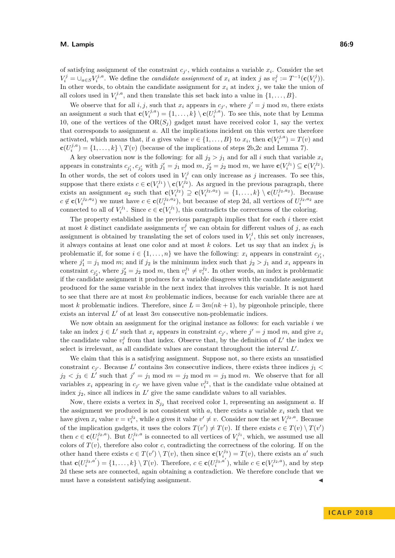#### **M. Lampis 86:9**

of satisfying assignment of the constraint  $c_j$ , which contains a variable  $x_i$ . Consider the set  $V_i^j = \bigcup_{a \in S} V_i^{j,a}$ . We define the *candidate assignment* of  $x_i$  at index j as  $v_i^j := T^{-1}(\mathbf{c}(V_i^j)).$ In other words, to obtain the candidate assignment for  $x_i$  at index  $j$ , we take the union of all colors used in  $V_i^{j,a}$ , and then translate this set back into a value in  $\{1,\ldots,B\}$ .

We observe that for all *i, j,* such that  $x_i$  appears in  $c_{j'}$ , where  $j' = j \mod m$ , there exists an assignment *a* such that  $\mathbf{c}(V_i^{j,a}) = \{1, \ldots, k\} \setminus \mathbf{c}(U_i^{j,a})$ . To see this, note that by Lemma [10,](#page-6-1) one of the vertices of the  $OR(S_i)$  gadget must have received color 1, say the vertex that corresponds to assignment *a*. All the implications incident on this vertex are therefore activated, which means that, if *a* gives value  $v \in \{1, \ldots, B\}$  to  $x_i$ , then  $\mathbf{c}(V_i^{j,a}) = T(v)$  and  $\mathbf{c}(U_i^{j,a}) = \{1, \ldots, k\} \setminus T(v)$  (because of the implications of steps [2b,](#page-7-1)[2c](#page-7-2) and Lemma [7\)](#page-5-0).

A key observation now is the following: for all  $j_2 > j_1$  and for all *i* such that variable  $x_i$ appears in constraints  $c_{j'_1}, c_{j'_2}$  with  $j'_1 = j_1 \mod m$ ,  $j'_2 = j_2 \mod m$ , we have  $\mathbf{c}(V_i^{j_1}) \subseteq \mathbf{c}(V_i^{j_2})$ . In other words, the set of colors used in  $V_i^j$  can only increase as *j* increases. To see this, suppose that there exists  $c \in \mathbf{c}(V_i^{j_1}) \setminus \mathbf{c}(V_i^{j_2})$ . As argued in the previous paragraph, there exists an assignment  $a_2$  such that  $\mathbf{c}(V_i^{j_2}) \supseteq \mathbf{c}(V_i^{j_2, a_2}) = \{1, \ldots, k\} \setminus \mathbf{c}(U_i^{j_2, a_2})$ . Because  $c \notin \mathbf{c}(V_i^{j_2, a_2})$  we must have  $c \in \mathbf{c}(U_i^{j_2, a_2})$ , but because of step [2d,](#page-7-0) all vertices of  $U_i^{j_2, a_2}$  are connected to all of  $V_i^{j_1}$ . Since  $c \in \mathbf{c}(V_i^{j_1})$ , this contradicts the correctness of the coloring.

The property established in the previous paragraph implies that for each *i* there exist at most *k* distinct candidate assignments  $v_i^j$  we can obtain for different values of *j*, as each assignment is obtained by translating the set of colors used in  $V_i^j$ , this set only increases, it always contains at least one color and at most  $k$  colors. Let us say that an index  $j_1$  is problematic if, for some  $i \in \{1, \ldots, n\}$  we have the following:  $x_i$  appears in constraint  $c_{j'_1}$ , where  $j'_1 = j_1 \mod m$ ; and if  $j_2$  is the minimum index such that  $j_2 > j_1 \mod x_i$  appears in constraint  $c_{j'_2}$ , where  $j'_2 = j_2 \mod m$ , then  $v_i^{j_1} \neq v_i^{j_2}$ . In other words, an index is problematic if the candidate assignment it produces for a variable disagrees with the candidate assignment produced for the same variable in the next index that involves this variable. It is not hard to see that there are at most *kn* problematic indices, because for each variable there are at most *k* problematic indices. Therefore, since  $L = 3m(nk + 1)$ , by pigeonhole principle, there exists an interval  $L'$  of at least  $3m$  consecutive non-problematic indices.

We now obtain an assignment for the original instance as follows: for each variable *i* we take an index  $j \in L'$  such that  $x_i$  appears in constraint  $c_{j'}$ , where  $j' = j \mod m$ , and give  $x_i$ the candidate value  $v_i^j$  from that index. Observe that, by the definition of  $L'$  the index we select is irrelevant, as all candidate values are constant throughout the interval  $L'$ .

We claim that this is a satisfying assignment. Suppose not, so there exists an unsatisfied constraint  $c_j$ . Because  $L'$  contains 3*m* consecutive indices, there exists three indices  $j_1$  $j_2 < j_3 \in L'$  such that  $j' = j_1 \mod m = j_2 \mod m = j_3 \mod m$ . We observe that for all variables  $x_i$  appearing in  $c_j$  we have given value  $v_i^{j_2}$ , that is the candidate value obtained at index  $j_2$ , since all indices in  $L'$  give the same candidate values to all variables.

Now, there exists a vertex in  $S_{j_2}$  that received color 1, representing an assignment *a*. If the assignment we produced is not consistent with  $a$ , there exists a variable  $x_i$  such that we have given  $x_i$  value  $v = v_i^{j_2}$ , while *a* gives it value  $v' \neq v$ . Consider now the set  $V_i^{j_2, a}$ . Because of the implication gadgets, it uses the colors  $T(v') \neq T(v)$ . If there exists  $c \in T(v) \setminus T(v')$ then  $c \in \mathbf{c}(U_i^{j_2, a})$ . But  $U_i^{j_2, a}$  is connected to all vertices of  $V_i^{j_1}$ , which, we assumed use all colors of  $T(v)$ , therefore also color *c*, contradicting the correctness of the coloring. If on the other hand there exists  $c \in T(v') \setminus T(v)$ , then since  $\mathbf{c}(V_i^{j_3}) = T(v)$ , there exists an *a'* such that  $\mathbf{c}(U_i^{j_3,a'}) = \{1,\ldots,k\} \setminus T(v)$ . Therefore,  $c \in \mathbf{c}(U_i^{j_3,a'})$ , while  $c \in \mathbf{c}(V_i^{j_2,a})$ , and by step [2d](#page-7-0) these sets are connected, again obtaining a contradiction. We therefore conclude that we must have a consistent satisfying assignment.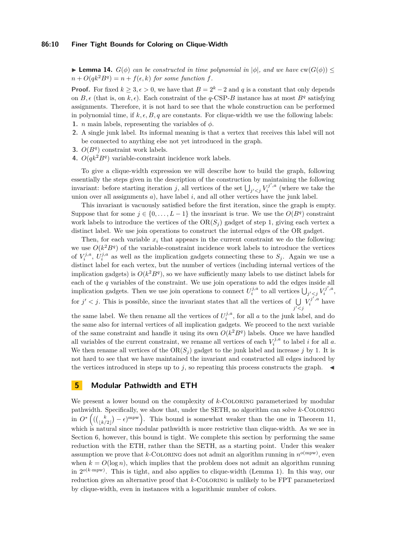#### **86:10 Finer Tight Bounds for Coloring on Clique-Width**

**Lemma 14.**  $G(\phi)$  can be constructed in time polynomial in  $|\phi|$ , and we have  $\text{cw}(G(\phi)) \leq$  $n + O(qk^2B^q) = n + f(\epsilon, k)$  *for some function f.* 

**Proof.** For fixed  $k \geq 3, \epsilon > 0$ , we have that  $B = 2^k - 2$  and q is a constant that only depends on  $B, \epsilon$  (that is, on  $k, \epsilon$ ). Each constraint of the *q*-CSP-*B* instance has at most  $B<sup>q</sup>$  satisfying assignments. Therefore, it is not hard to see that the whole construction can be performed in polynomial time, if  $k, \epsilon, B, q$  are constants. For clique-width we use the following labels: **1.** *n* main labels, representing the variables of *φ*.

- **2.** A single junk label. Its informal meaning is that a vertex that receives this label will not be connected to anything else not yet introduced in the graph.
- **3.**  $O(B^q)$  constraint work labels.
- **4.**  $O(qk^2B^q)$  variable-constraint incidence work labels.

To give a clique-width expression we will describe how to build the graph, following essentially the steps given in the description of the construction by maintaining the following invariant: before starting iteration *j*, all vertices of the set  $\bigcup_{j' < j} V_i^{j',a}$  (where we take the union over all assignments  $a$ ), have label  $i$ , and all other vertices have the junk label.

This invariant is vacuously satisfied before the first iteration, since the graph is empty. Suppose that for some  $j \in \{0, \ldots, L-1\}$  the invariant is true. We use the  $O(B^q)$  constraint work labels to introduce the vertices of the  $OR(S_i)$  gadget of step [1,](#page-7-3) giving each vertex a distinct label. We use join operations to construct the internal edges of the OR gadget.

Then, for each variable  $x_i$  that appears in the current constraint we do the following: we use  $O(k^2B^q)$  of the variable-constraint incidence work labels to introduce the vertices of  $V_i^{j,a}, U_i^{j,a}$  as well as the implication gadgets connecting these to  $S_j$ . Again we use a distinct label for each vertex, but the number of vertices (including internal vertices of the implication gadgets) is  $O(k^2B^q)$ , so we have sufficiently many labels to use distinct labels for each of the *q* variables of the constraint. We use join operations to add the edges inside all implication gadgets. Then we use join operations to connect  $U_i^{j,a}$  to all vertices  $\bigcup_{j' < j} V_i^{j',a}$ , for  $j' < j$ . This is possible, since the invariant states that all the vertices of  $\bigcup$ *j* <sup>0</sup>*<j*  $V_i^{j',a}$  have

the same label. We then rename all the vertices of  $U_i^{j,a}$ , for all *a* to the junk label, and do the same also for internal vertices of all implication gadgets. We proceed to the next variable of the same constraint and handle it using its own  $O(k^2B^q)$  labels. Once we have handled all variables of the current constraint, we rename all vertices of each  $V_i^{j,a}$  to label *i* for all *a*. We then rename all vertices of the  $OR(S_i)$  gadget to the junk label and increase *j* by 1. It is not hard to see that we have maintained the invariant and constructed all edges induced by the vertices introduced in steps up to  $j$ , so repeating this process constructs the graph.  $\blacktriangleleft$ 

## <span id="page-9-0"></span>**5 Modular Pathwidth and ETH**

We present a lower bound on the complexity of *k*-COLORING parameterized by modular pathwidth. Specifically, we show that, under the SETH, no algorithm can solve *k*-Coloring in  $O^*((\binom{k}{\lfloor k/2 \rfloor}-\epsilon)^{\text{mpw}})$ . This bound is somewhat weaker than the one in Theorem [11,](#page-6-2) which is natural since modular pathwidth is more restrictive than clique-width. As we see in Section [6,](#page-10-0) however, this bound is tight. We complete this section by performing the same reduction with the ETH, rather than the SETH, as a starting point. Under this weaker assumption we prove that  $k$ -COLORING does not admit an algorithm running in  $n^{o(\text{mpw})}$ , even when  $k = O(\log n)$ , which implies that the problem does not admit an algorithm running in 2 *<sup>o</sup>*(*k*·mpw). This is tight, and also applies to clique-width (Lemma [1\)](#page-3-1). In this way, our reduction gives an alternative proof that *k*-Coloring is unlikely to be FPT parameterized by clique-width, even in instances with a logarithmic number of colors.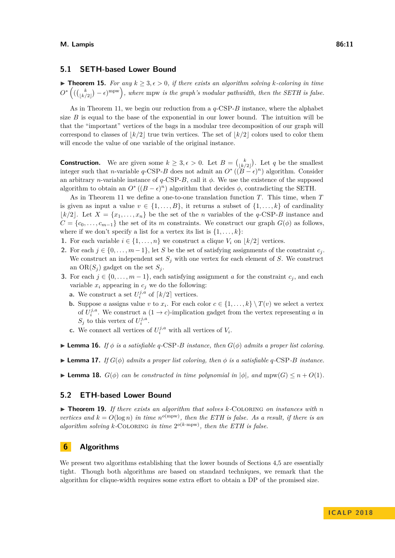## **5.1 SETH-based Lower Bound**

▶ **Theorem 15.** *For any*  $k \geq 3, \epsilon > 0$ *, if there exists an algorithm solving k*-*coloring in time*  $O^*((\binom{k}{\lfloor k/2 \rfloor}-\epsilon)^{\text{mpw}})$ , where mpw *is the graph's modular pathwidth*, then the SETH is false.

As in Theorem [11,](#page-6-2) we begin our reduction from a *q*-CSP-*B* instance, where the alphabet size *B* is equal to the base of the exponential in our lower bound. The intuition will be that the "important" vertices of the bags in a modular tree decomposition of our graph will correspond to classes of  $k/2$  true twin vertices. The set of  $k/2$  colors used to color them will encode the value of one variable of the original instance.

**Construction.** We are given some  $k \geq 3, \epsilon > 0$ . Let  $B = \binom{k}{\lfloor k/2 \rfloor}$ . Let q be the smallest integer such that *n*-variable *q*-CSP-*B* does not admit an  $O^*((B - \epsilon)^n)$  algorithm. Consider an arbitrary *n*-variable instance of  $q$ -CSP-*B*, call it  $\phi$ . We use the existence of the supposed algorithm to obtain an  $O^*((B - \epsilon)^n)$  algorithm that decides  $\phi$ , contradicting the SETH.

As in Theorem [11](#page-6-2) we define a one-to-one translation function *T*. This time, when *T* is given as input a value  $v \in \{1, \ldots, B\}$ , it returns a subset of  $\{1, \ldots, k\}$  of cardinality  $|k/2|$ . Let  $X = \{x_1, \ldots, x_n\}$  be the set of the *n* variables of the *q*-CSP-*B* instance and  $C = \{c_0, \ldots, c_{m-1}\}\$ the set of its *m* constraints. We construct our graph  $G(\phi)$  as follows, where if we don't specify a list for a vertex its list is  $\{1, \ldots, k\}$ :

- **1.** For each variable  $i \in \{1, ..., n\}$  we construct a clique  $V_i$  on  $|k/2|$  vertices.
- **2.** For each  $j \in \{0, \ldots, m-1\}$ , let *S* be the set of satisfying assignments of the constraint  $c_j$ . We construct an independent set  $S_j$  with one vertex for each element of *S*. We construct an  $OR(S_j)$  gadget on the set  $S_j$ .
- **3.** For each  $j \in \{0, \ldots, m-1\}$ , each satisfying assignment *a* for the constraint  $c_j$ , and each variable  $x_i$  appearing in  $c_j$  we do the following:
	- **a.** We construct a set  $U_i^{j,a}$  of  $\lceil k/2 \rceil$  vertices.
	- **b.** Suppose *a* assigns value *v* to  $x_i$ . For each color  $c \in \{1, \ldots, k\} \setminus T(v)$  we select a vertex of  $U_i^{j,a}$ . We construct a  $(1 \rightarrow c)$ -implication gadget from the vertex representing a in  $S_j$  to this vertex of  $U_i^{j,a}$ .
	- **c.** We connect all vertices of  $U_i^{j,a}$  with all vertices of  $V_i$ .
- **Lemma 16.** *If*  $\phi$  *is a satisfiable q*-CSP*-B instance, then*  $G(\phi)$  *admits a proper list coloring.*
- $\blacktriangleright$  **Lemma 17.** If  $G(\phi)$  admits a proper list coloring, then  $\phi$  is a satisfiable q-CSP-*B* instance.
- **Example 18.**  $G(\phi)$  can be constructed in time polynomial in  $|\phi|$ , and mpw( $G$ )  $\leq n + O(1)$ .

#### **5.2 ETH-based Lower Bound**

▶ Theorem 19. *If there exists an algorithm that solves k*-COLORING *on instances with n vertices and*  $k = O(\log n)$  *in time*  $n^{o(\text{mpw})}$ *, then the ETH is false. As a result, if there is an* algorithm solving  $k$ -COLORING in time  $2^{o(k \cdot mpw)}$ , then the ETH is false.

# <span id="page-10-0"></span>**6 Algorithms**

We present two algorithms establishing that the lower bounds of Sections 4.[5](#page-9-0) are essentially tight. Though both algorithms are based on standard techniques, we remark that the algorithm for clique-width requires some extra effort to obtain a DP of the promised size.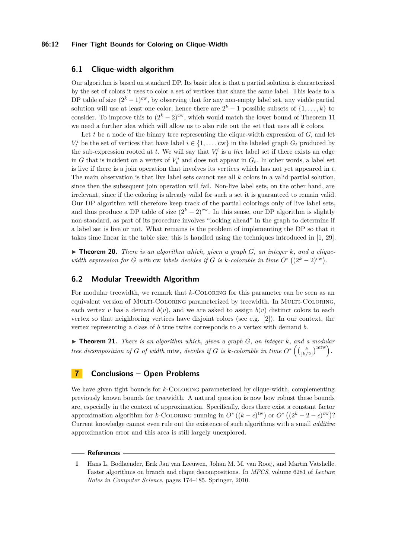#### **86:12 Finer Tight Bounds for Coloring on Clique-Width**

## **6.1 Clique-width algorithm**

Our algorithm is based on standard DP. Its basic idea is that a partial solution is characterized by the set of colors it uses to color a set of vertices that share the same label. This leads to a DP table of size  $(2<sup>k</sup> - 1)<sup>cw</sup>$ , by observing that for any non-empty label set, any viable partial solution will use at least one color, hence there are  $2^k - 1$  possible subsets of  $\{1, \ldots, k\}$  to consider. To improve this to  $(2<sup>k</sup> - 2)<sup>cw</sup>$ , which would match the lower bound of Theorem [11](#page-6-2) we need a further idea which will allow us to also rule out the set that uses all *k* colors.

Let  $t$  be a node of the binary tree representing the clique-width expression of  $G$ , and let  $V_t^i$  be the set of vertices that have label  $i \in \{1, \ldots, \text{cw}\}\$ in the labeled graph  $G_t$  produced by the sub-expression rooted at *t*. We will say that  $V_t^i$  is a *live* label set if there exists an edge in *G* that is incident on a vertex of  $V_t^i$  and does not appear in  $G_t$ . In other words, a label set is live if there is a join operation that involves its vertices which has not yet appeared in *t*. The main observation is that live label sets cannot use all *k* colors in a valid partial solution, since then the subsequent join operation will fail. Non-live label sets, on the other hand, are irrelevant, since if the coloring is already valid for such a set it is guaranteed to remain valid. Our DP algorithm will therefore keep track of the partial colorings only of live label sets, and thus produce a DP table of size  $(2<sup>k</sup> - 2)<sup>cw</sup>$ . In this sense, our DP algorithm is slightly non-standard, as part of its procedure involves "looking ahead" in the graph to determine if a label set is live or not. What remains is the problem of implementing the DP so that it takes time linear in the table size; this is handled using the techniques introduced in [\[1,](#page-11-0) [29\]](#page-13-4).

 $\triangleright$  **Theorem 20.** *There is an algorithm which, given a graph G, an integer k, and a cliquewidth expression for G with* cw *labels decides if G is k-colorable in time*  $O^*((2^k-2)^{cw})$ *.* 

## **6.2 Modular Treewidth Algorithm**

For modular treewidth, we remark that *k*-COLORING for this parameter can be seen as an equivalent version of Multi-Coloring parameterized by treewidth. In Multi-Coloring, each vertex *v* has a demand  $b(v)$ , and we are asked to assign  $b(v)$  distinct colors to each vertex so that neighboring vertices have disjoint colors (see e.g.  $[2]$ ). In our context, the vertex representing a class of *b* true twins corresponds to a vertex with demand *b*.

 $\triangleright$  **Theorem 21.** *There is an algorithm which, given a graph G, an integer k, and a modular tree decomposition of G of width* mtw, *decides if G is k-colorable in time*  $O^*\left(\binom{k}{\lfloor k/2 \rfloor}^{m \text{trw}}\right)$ .

## **7 Conclusions – Open Problems**

We have given tight bounds for *k*-COLORING parameterized by clique-width, complementing previously known bounds for treewidth. A natural question is now how robust these bounds are, especially in the context of approximation. Specifically, does there exist a constant factor approximation algorithm for *k*-COLORING running in  $O^*((k-\epsilon)^{tw})$  or  $O^*((2^k-2-\epsilon)^{cw})$ ? Current knowledge cannot even rule out the existence of such algorithms with a small *additive* approximation error and this area is still largely unexplored.

#### **References**

<span id="page-11-0"></span>**1** Hans L. Bodlaender, Erik Jan van Leeuwen, Johan M. M. van Rooij, and Martin Vatshelle. Faster algorithms on branch and clique decompositions. In *MFCS*, volume 6281 of *Lecture Notes in Computer Science*, pages 174–185. Springer, 2010.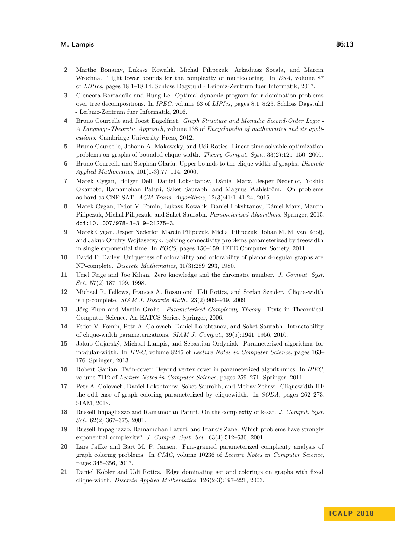#### **M. Lampis 86:13**

- <span id="page-12-19"></span>**2** Marthe Bonamy, Lukasz Kowalik, Michal Pilipczuk, Arkadiusz Socala, and Marcin Wrochna. Tight lower bounds for the complexity of multicoloring. In *ESA*, volume 87 of *LIPIcs*, pages 18:1–18:14. Schloss Dagstuhl - Leibniz-Zentrum fuer Informatik, 2017.
- <span id="page-12-17"></span>**3** Glencora Borradaile and Hung Le. Optimal dynamic program for r-domination problems over tree decompositions. In *IPEC*, volume 63 of *LIPIcs*, pages 8:1–8:23. Schloss Dagstuhl - Leibniz-Zentrum fuer Informatik, 2016.
- <span id="page-12-2"></span>**4** Bruno Courcelle and Joost Engelfriet. *Graph Structure and Monadic Second-Order Logic - A Language-Theoretic Approach*, volume 138 of *Encyclopedia of mathematics and its applications*. Cambridge University Press, 2012.
- <span id="page-12-14"></span>**5** Bruno Courcelle, Johann A. Makowsky, and Udi Rotics. Linear time solvable optimization problems on graphs of bounded clique-width. *Theory Comput. Syst.*, 33(2):125–150, 2000.
- <span id="page-12-13"></span>**6** Bruno Courcelle and Stephan Olariu. Upper bounds to the clique width of graphs. *Discrete Applied Mathematics*, 101(1-3):77–114, 2000.
- <span id="page-12-16"></span>**7** Marek Cygan, Holger Dell, Daniel Lokshtanov, Dániel Marx, Jesper Nederlof, Yoshio Okamoto, Ramamohan Paturi, Saket Saurabh, and Magnus Wahlström. On problems as hard as CNF-SAT. *ACM Trans. Algorithms*, 12(3):41:1–41:24, 2016.
- <span id="page-12-5"></span>**8** Marek Cygan, Fedor V. Fomin, Lukasz Kowalik, Daniel Lokshtanov, Dániel Marx, Marcin Pilipczuk, Michal Pilipczuk, and Saket Saurabh. *Parameterized Algorithms*. Springer, 2015. [doi:10.1007/978-3-319-21275-3](http://dx.doi.org/10.1007/978-3-319-21275-3).
- <span id="page-12-18"></span>**9** Marek Cygan, Jesper Nederlof, Marcin Pilipczuk, Michal Pilipczuk, Johan M. M. van Rooij, and Jakub Onufry Wojtaszczyk. Solving connectivity problems parameterized by treewidth in single exponential time. In *FOCS*, pages 150–159. IEEE Computer Society, 2011.
- <span id="page-12-0"></span>**10** David P. Dailey. Uniqueness of colorability and colorability of planar 4-regular graphs are NP-complete. *Discrete Mathematics*, 30(3):289–293, 1980.
- <span id="page-12-1"></span>**11** Uriel Feige and Joe Kilian. Zero knowledge and the chromatic number. *J. Comput. Syst. Sci.*, 57(2):187–199, 1998.
- <span id="page-12-15"></span>**12** Michael R. Fellows, Frances A. Rosamond, Udi Rotics, and Stefan Szeider. Clique-width is np-complete. *SIAM J. Discrete Math.*, 23(2):909–939, 2009.
- <span id="page-12-6"></span>**13** Jörg Flum and Martin Grohe. *Parameterized Complexity Theory*. Texts in Theoretical Computer Science. An EATCS Series. Springer, 2006.
- <span id="page-12-9"></span>**14** Fedor V. Fomin, Petr A. Golovach, Daniel Lokshtanov, and Saket Saurabh. Intractability of clique-width parameterizations. *SIAM J. Comput.*, 39(5):1941–1956, 2010.
- <span id="page-12-11"></span>**15** Jakub Gajarský, Michael Lampis, and Sebastian Ordyniak. Parameterized algorithms for modular-width. In *IPEC*, volume 8246 of *Lecture Notes in Computer Science*, pages 163– 176. Springer, 2013.
- <span id="page-12-12"></span>**16** Robert Ganian. Twin-cover: Beyond vertex cover in parameterized algorithmics. In *IPEC*, volume 7112 of *Lecture Notes in Computer Science*, pages 259–271. Springer, 2011.
- <span id="page-12-10"></span>**17** Petr A. Golovach, Daniel Lokshtanov, Saket Saurabh, and Meirav Zehavi. Cliquewidth III: the odd case of graph coloring parameterized by cliquewidth. In *SODA*, pages 262–273. SIAM, 2018.
- <span id="page-12-3"></span>**18** Russell Impagliazzo and Ramamohan Paturi. On the complexity of k-sat. *J. Comput. Syst. Sci.*, 62(2):367–375, 2001.
- <span id="page-12-4"></span>**19** Russell Impagliazzo, Ramamohan Paturi, and Francis Zane. Which problems have strongly exponential complexity? *J. Comput. Syst. Sci.*, 63(4):512–530, 2001.
- <span id="page-12-7"></span>**20** Lars Jaffke and Bart M. P. Jansen. Fine-grained parameterized complexity analysis of graph coloring problems. In *CIAC*, volume 10236 of *Lecture Notes in Computer Science*, pages 345–356, 2017.
- <span id="page-12-8"></span>**21** Daniel Kobler and Udi Rotics. Edge dominating set and colorings on graphs with fixed clique-width. *Discrete Applied Mathematics*, 126(2-3):197–221, 2003.